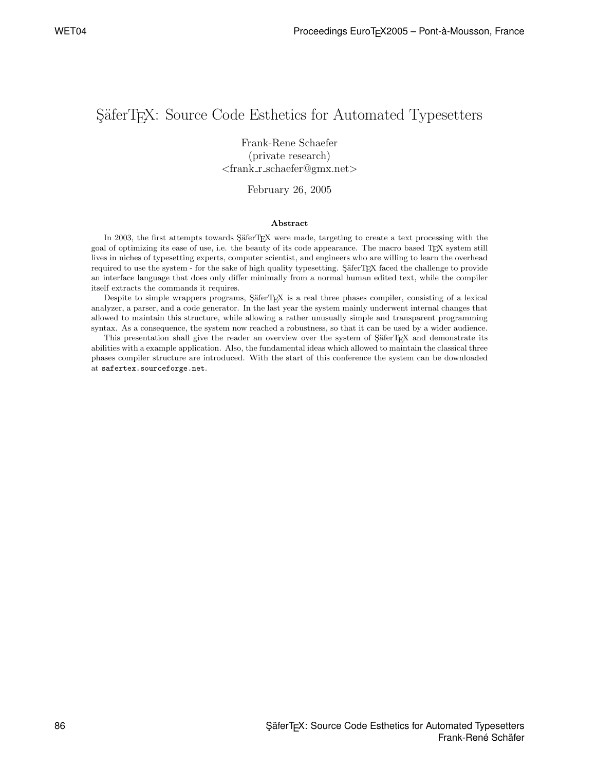## SäferT<sub>E</sub>X: Source Code Esthetics for Automated Typesetters

Frank-Rene Schaefer<br>(private research) (private research) *<sup>&</sup>lt;*frank r schaefer@gmx.net*<sup>&</sup>gt;*

February 26, 2005

## **Abstract**

In 2003, the first attempts towards SäferTEX were made, targeting to create a text processing with the goal of optimizing its ease of use, i.e. the beauty of its code appearance. The macro based TEX system still lives in niches of typesetting experts, computer scientist, and engineers who are willing to learn the overhead required to use the system - for the sake of high quality typesetting. SäferTEX faced the challenge to provide an interface language that does only differ minimally from a normal human edited text, while the compiler itself extracts the commands it requires.

Despite to simple wrappers programs, SäferTFX is a real three phases compiler, consisting of a lexical analyzer, a parser, and a code generator. In the last year the system mainly underwent internal changes that allowed to maintain this structure, while allowing a rather unusually simple and transparent programming syntax. As a consequence, the system now reached a robustness, so that it can be used by a wider audience.

This presentation shall give the reader an overview over the system of SäferTEX and demonstrate its abilities with a example application. Also, the fundamental ideas which allowed to maintain the classical three phases compiler structure are introduced. With the start of this conference the system can be downloaded at safertex.sourceforge.net.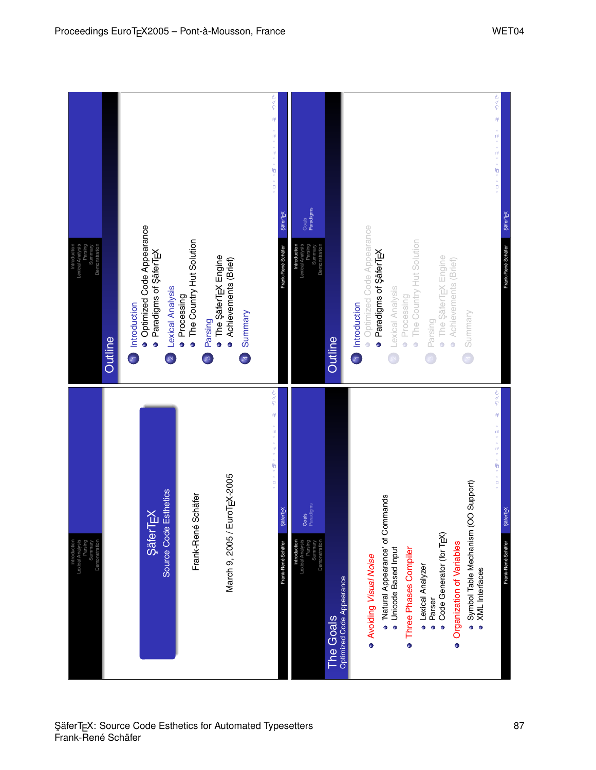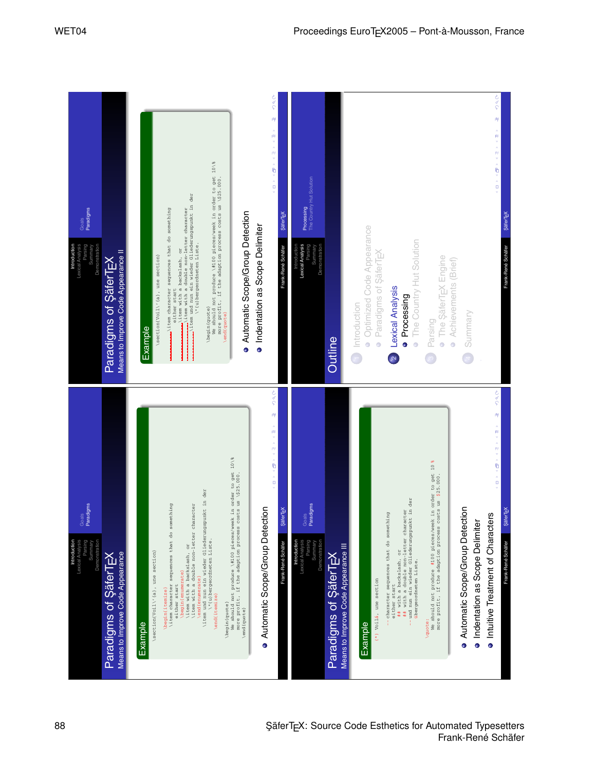| Paradigms<br>Goals<br>Summary<br>Demonstration<br>Introduction<br>Lexical Analysis<br>Parsing                | Means to Improve Code Appearance II<br>Paradigms of ŞäferTEX | े<br>१<br><b>९००</b><br>$\mu_{\rm f}$<br>岬<br>▲ 柳 ▼ ▲ 柳 ▼ ▲ 勵 ▼ ▲ 日 ▼<br>▲西×▲西×▲晒×▲日×<br>We should not produce \#100 pieces/week in order to get 10\%<br>more profit, if the adaption process costs us \\$25.000.<br>The Country Hut Solution<br>wittem und nun ein wieder Gliederungspunkt in der $\setminus$ (u) bergeordneten Liste.<br>Processing<br>with a double non-letter character<br>item character sequences that do something<br>Automatic Scope/Group Detection<br>SäterT <sub>FX</sub><br><b>ŞäferTEX</b><br>· Indentation as Scope Delimiter<br>· Optimized Code Appearance<br>The Country Hut Solution<br>Frank-René Schäfer<br>Introduction<br>Lexical Analysis<br>Parsing<br>Summary<br>Demonstration<br>Frank-René Schäfer<br>\item with a backslash, or<br>• Paradigms of SaferTEX<br>\section(Voil\'(a), une section)<br>The SäferT <sub>FX</sub> Engine<br>• Achievements (Brief)<br>Lexical Analysis<br>either start<br>· Processing<br>1 Introduction<br>\begin{quote}<br>Summary<br>\end(quote)<br>Parsing<br>Example<br>Outline<br>$\ddot{\phantom{0}}$<br>$\ddot{\phantom{0}}$<br>$\begin{pmatrix} 1 \\ 1 \end{pmatrix}$<br>$\overline{\mathbf{z}}$                                                                                                                                                                                                              |
|--------------------------------------------------------------------------------------------------------------|--------------------------------------------------------------|---------------------------------------------------------------------------------------------------------------------------------------------------------------------------------------------------------------------------------------------------------------------------------------------------------------------------------------------------------------------------------------------------------------------------------------------------------------------------------------------------------------------------------------------------------------------------------------------------------------------------------------------------------------------------------------------------------------------------------------------------------------------------------------------------------------------------------------------------------------------------------------------------------------------------------------------------------------------------------------------------------------------------------------------------------------------------------------------------------------------------------------------------------------------------------------------------------------------------------------------------------------------------------------------------------------------------------------------------------------------------------------------|
| radigms<br>Goals<br>Paradi<br>Lexical Analysis<br><b>Parsing</b><br>Introduction<br>Summary<br>Demonstration | Means to Improve Code Appearance<br>Paradigms of SäferTEX    | S oc<br><b>Soc</b><br>.<br>M<br>岬<br>▲御×▲御×▲晒×▲日×<br>▲御*▲御*▲勵*▲日*<br>We should not produce \#100 pieces/week in order to get 10\%<br>We should not produce #100 pieces/week in order to get 10 %<br>more profit, if the adaption process costs us \$25.000.<br>the adaption process costs us \\$25.000.<br>\item und nun ein wieder Gliederungspunkt in der<br>## with a double non-letter character<br>und nun ein wieder Gliederungspunkt in der<br>übergeordneten Liste.<br>\item character sequences that do something<br>Goals<br>Paradigms<br>\item with a double non-letter character<br>Automatic Scope/Group Detection<br>Automatic Scope/Group Detection<br>Säter <sub>EX</sub><br>ter T <sub>E</sub> X<br>character sequences that do something<br>Intuitive Treatment of Characters<br>· Indentation as Scope Delimiter<br>Şä<br>\"(u)bergeordneten Liste.<br><b>Introduction</b><br>Lexical Analysis<br>Parsing<br>Summary<br>Demonstration<br>Frank-René Schäfer<br>Frank-René Schäfer<br>\item with a backslash, or<br>Means to Improve Code Appearance III<br>## with a backslash, or<br>\section(Voil\'(a), une section)<br>Paradigms of ŞäferTEX<br>begin (enumerate)<br>end (enumerate<br>(*) Voilá, une section<br>either start<br>either start<br>more profit, if<br>\begin(itemize)<br>\end(itemize)<br>\begin(quote)<br>\end(quote)<br>\quote:<br>Example<br>Example |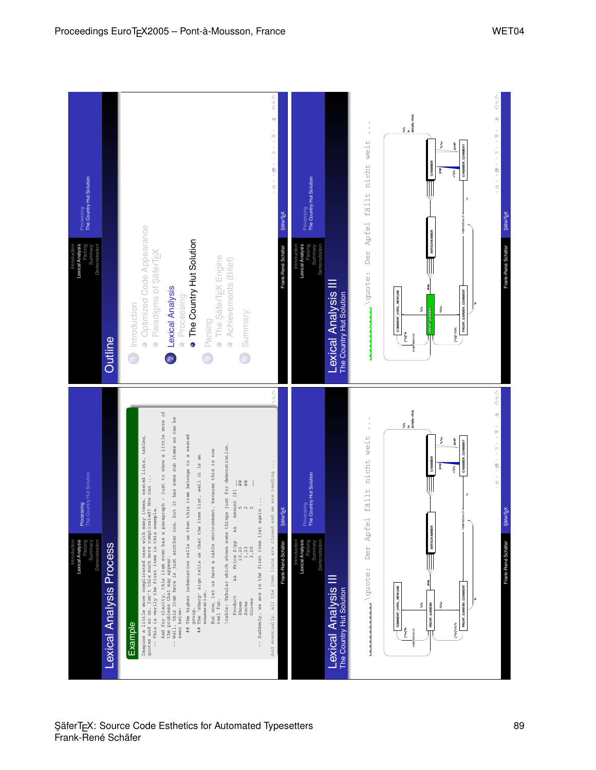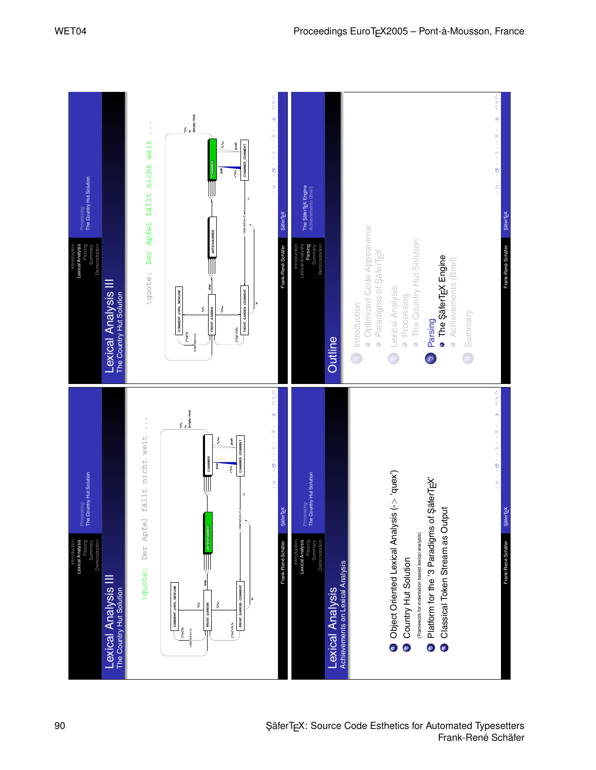